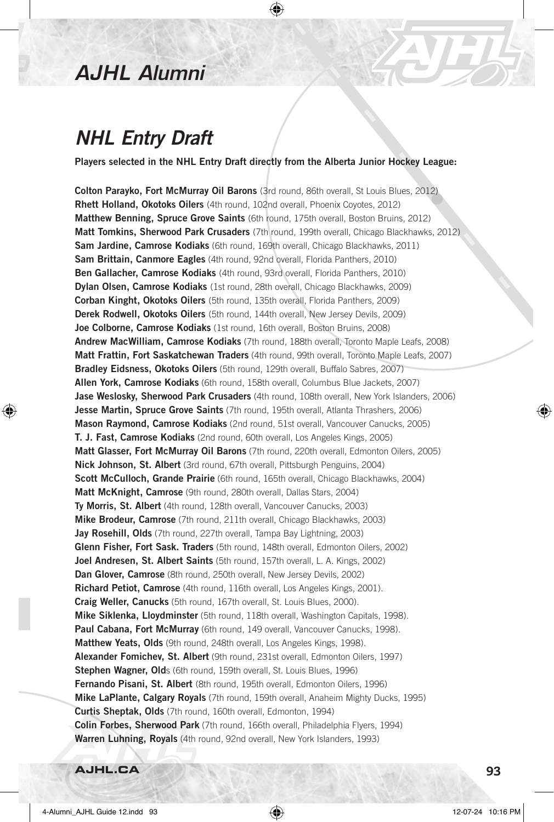## *AJHL Alumni*

## *NHL Entry Draft*

Players selected in the NHL Entry Draft directly from the Alberta Junior Hockey League:

⊕

Colton Parayko, Fort McMurray Oil Barons (3rd round, 86th overall, St Louis Blues, 2012) Rhett Holland, Okotoks Oilers (4th round, 102nd overall, Phoenix Coyotes, 2012) Matthew Benning, Spruce Grove Saints (6th round, 175th overall, Boston Bruins, 2012) Matt Tomkins, Sherwood Park Crusaders (7th round, 199th overall, Chicago Blackhawks, 2012) Sam Jardine, Camrose Kodiaks (6th round, 169th overall, Chicago Blackhawks, 2011) Sam Brittain, Canmore Eagles (4th round, 92nd overall, Florida Panthers, 2010) Ben Gallacher, Camrose Kodiaks (4th round, 93rd overall, Florida Panthers, 2010) Dylan Olsen, Camrose Kodiaks (1st round, 28th overall, Chicago Blackhawks, 2009) Corban Kinght, Okotoks Oilers (5th round, 135th overall, Florida Panthers, 2009) Derek Rodwell, Okotoks Oilers (5th round, 144th overall, New Jersey Devils, 2009) Joe Colborne, Camrose Kodiaks (1st round, 16th overall, Boston Bruins, 2008) Andrew MacWilliam, Camrose Kodiaks (7th round, 188th overall, Toronto Maple Leafs, 2008) Matt Frattin, Fort Saskatchewan Traders (4th round, 99th overall, Toronto Maple Leafs, 2007) Bradley Eidsness, Okotoks Oilers (5th round, 129th overall, Buffalo Sabres, 2007) Allen York, Camrose Kodiaks (6th round, 158th overall, Columbus Blue Jackets, 2007) Jase Weslosky, Sherwood Park Crusaders (4th round, 108th overall, New York Islanders, 2006) Jesse Martin, Spruce Grove Saints (7th round, 195th overall, Atlanta Thrashers, 2006) Mason Raymond, Camrose Kodiaks (2nd round, 51st overall, Vancouver Canucks, 2005) T. J. Fast, Camrose Kodiaks (2nd round, 60th overall, Los Angeles Kings, 2005) Matt Glasser, Fort McMurray Oil Barons (7th round, 220th overall, Edmonton Oilers, 2005) Nick Johnson, St. Albert (3rd round, 67th overall, Pittsburgh Penguins, 2004) Scott McCulloch, Grande Prairie (6th round, 165th overall, Chicago Blackhawks, 2004) Matt McKnight, Camrose (9th round, 280th overall, Dallas Stars, 2004) Ty Morris, St. Albert (4th round, 128th overall, Vancouver Canucks, 2003) Mike Brodeur, Camrose (7th round, 211th overall, Chicago Blackhawks, 2003) Jay Rosehill, Olds (7th round, 227th overall, Tampa Bay Lightning, 2003) Glenn Fisher, Fort Sask. Traders (5th round, 148th overall, Edmonton Oilers, 2002) Joel Andresen, St. Albert Saints (5th round, 157th overall, L. A. Kings, 2002) Dan Glover, Camrose (8th round, 250th overall, New Jersey Devils, 2002) Richard Petiot, Camrose (4th round, 116th overall, Los Angeles Kings, 2001). Craig Weller, Canucks (5th round, 167th overall, St. Louis Blues, 2000). Mike Siklenka, Lloydminster (5th round, 118th overall, Washington Capitals, 1998). Paul Cabana, Fort McMurray (6th round, 149 overall, Vancouver Canucks, 1998). Matthew Yeats, Olds (9th round, 248th overall, Los Angeles Kings, 1998). Alexander Fomichev, St. Albert (9th round, 231st overall, Edmonton Oilers, 1997) Stephen Wagner, Olds (6th round, 159th overall, St. Louis Blues, 1996) Fernando Pisani, St. Albert (8th round, 195th overall, Edmonton Oilers, 1996) Mike LaPlante, Calgary Royals (7th round, 159th overall, Anaheim Mighty Ducks, 1995) Curtis Sheptak, Olds (7th round, 160th overall, Edmonton, 1994) Colin Forbes, Sherwood Park (7th round, 166th overall, Philadelphia Flyers, 1994) Warren Luhning, Royals (4th round, 92nd overall, New York Islanders, 1993)

**AJHL.CA** 93

⊕

⊕